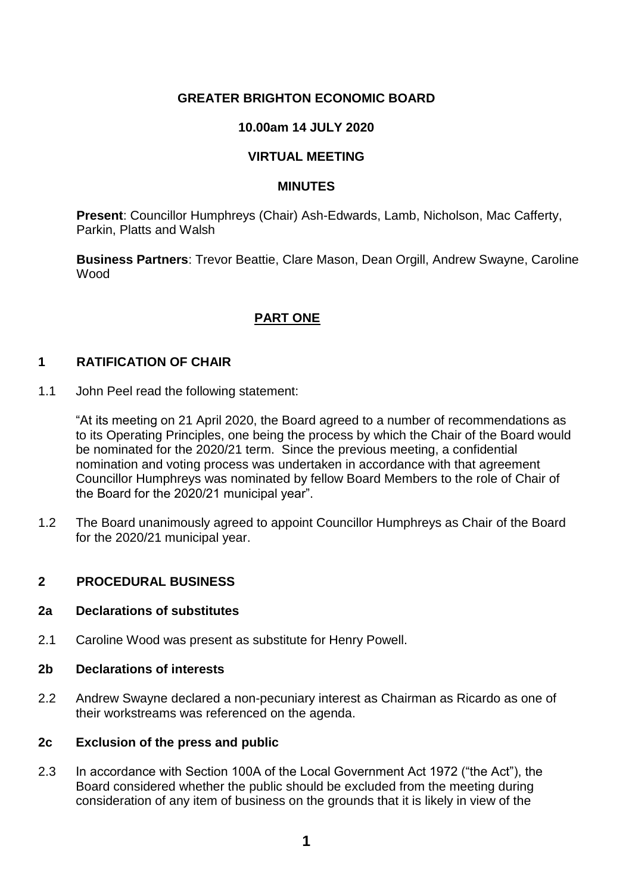### **GREATER BRIGHTON ECONOMIC BOARD**

### **10.00am 14 JULY 2020**

#### **VIRTUAL MEETING**

#### **MINUTES**

**Present**: Councillor Humphreys (Chair) Ash-Edwards, Lamb, Nicholson, Mac Cafferty, Parkin, Platts and Walsh

**Business Partners**: Trevor Beattie, Clare Mason, Dean Orgill, Andrew Swayne, Caroline Wood

## **PART ONE**

#### **1 RATIFICATION OF CHAIR**

1.1 John Peel read the following statement:

"At its meeting on 21 April 2020, the Board agreed to a number of recommendations as to its Operating Principles, one being the process by which the Chair of the Board would be nominated for the 2020/21 term. Since the previous meeting, a confidential nomination and voting process was undertaken in accordance with that agreement Councillor Humphreys was nominated by fellow Board Members to the role of Chair of the Board for the 2020/21 municipal year".

1.2 The Board unanimously agreed to appoint Councillor Humphreys as Chair of the Board for the 2020/21 municipal year.

#### **2 PROCEDURAL BUSINESS**

#### **2a Declarations of substitutes**

2.1 Caroline Wood was present as substitute for Henry Powell.

#### **2b Declarations of interests**

2.2 Andrew Swayne declared a non-pecuniary interest as Chairman as Ricardo as one of their workstreams was referenced on the agenda.

#### **2c Exclusion of the press and public**

2.3 In accordance with Section 100A of the Local Government Act 1972 ("the Act"), the Board considered whether the public should be excluded from the meeting during consideration of any item of business on the grounds that it is likely in view of the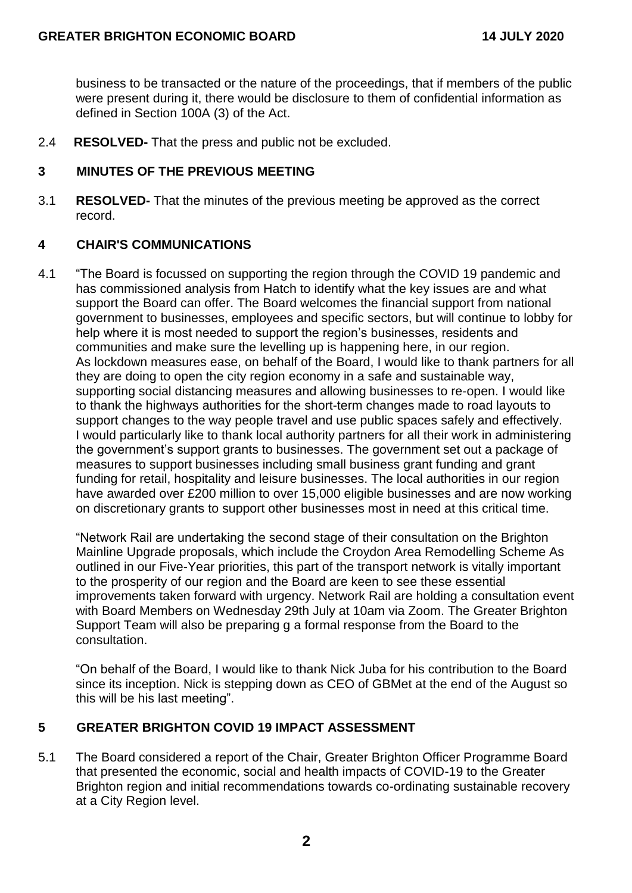business to be transacted or the nature of the proceedings, that if members of the public were present during it, there would be disclosure to them of confidential information as defined in Section 100A (3) of the Act.

2.4 **RESOLVED-** That the press and public not be excluded.

### **3 MINUTES OF THE PREVIOUS MEETING**

3.1 **RESOLVED-** That the minutes of the previous meeting be approved as the correct record.

### **4 CHAIR'S COMMUNICATIONS**

4.1 "The Board is focussed on supporting the region through the COVID 19 pandemic and has commissioned analysis from Hatch to identify what the key issues are and what support the Board can offer. The Board welcomes the financial support from national government to businesses, employees and specific sectors, but will continue to lobby for help where it is most needed to support the region's businesses, residents and communities and make sure the levelling up is happening here, in our region. As lockdown measures ease, on behalf of the Board, I would like to thank partners for all they are doing to open the city region economy in a safe and sustainable way, supporting social distancing measures and allowing businesses to re-open. I would like to thank the highways authorities for the short-term changes made to road layouts to support changes to the way people travel and use public spaces safely and effectively. I would particularly like to thank local authority partners for all their work in administering the government's support grants to businesses. The government set out a package of measures to support businesses including small business grant funding and grant funding for retail, hospitality and leisure businesses. The local authorities in our region have awarded over £200 million to over 15,000 eligible businesses and are now working on discretionary grants to support other businesses most in need at this critical time.

"Network Rail are undertaking the second stage of their consultation on the Brighton Mainline Upgrade proposals, which include the Croydon Area Remodelling Scheme As outlined in our Five-Year priorities, this part of the transport network is vitally important to the prosperity of our region and the Board are keen to see these essential improvements taken forward with urgency. Network Rail are holding a consultation event with Board Members on Wednesday 29th July at 10am via Zoom. The Greater Brighton Support Team will also be preparing g a formal response from the Board to the consultation.

"On behalf of the Board, I would like to thank Nick Juba for his contribution to the Board since its inception. Nick is stepping down as CEO of GBMet at the end of the August so this will be his last meeting".

### **5 GREATER BRIGHTON COVID 19 IMPACT ASSESSMENT**

5.1 The Board considered a report of the Chair, Greater Brighton Officer Programme Board that presented the economic, social and health impacts of COVID-19 to the Greater Brighton region and initial recommendations towards co-ordinating sustainable recovery at a City Region level.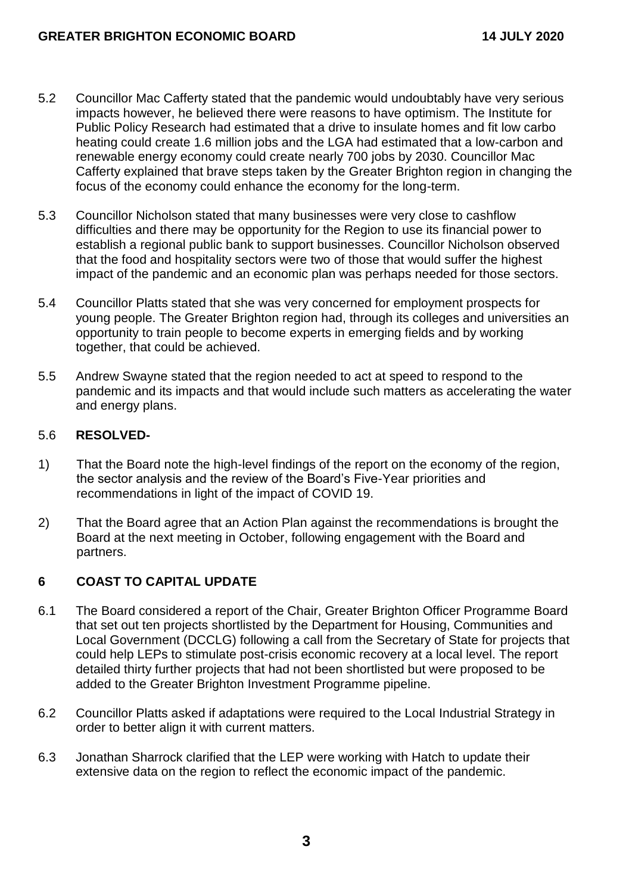- 5.2 Councillor Mac Cafferty stated that the pandemic would undoubtably have very serious impacts however, he believed there were reasons to have optimism. The Institute for Public Policy Research had estimated that a drive to insulate homes and fit low carbo heating could create 1.6 million jobs and the LGA had estimated that a low-carbon and renewable energy economy could create nearly 700 jobs by 2030. Councillor Mac Cafferty explained that brave steps taken by the Greater Brighton region in changing the focus of the economy could enhance the economy for the long-term.
- 5.3 Councillor Nicholson stated that many businesses were very close to cashflow difficulties and there may be opportunity for the Region to use its financial power to establish a regional public bank to support businesses. Councillor Nicholson observed that the food and hospitality sectors were two of those that would suffer the highest impact of the pandemic and an economic plan was perhaps needed for those sectors.
- 5.4 Councillor Platts stated that she was very concerned for employment prospects for young people. The Greater Brighton region had, through its colleges and universities an opportunity to train people to become experts in emerging fields and by working together, that could be achieved.
- 5.5 Andrew Swayne stated that the region needed to act at speed to respond to the pandemic and its impacts and that would include such matters as accelerating the water and energy plans.

#### 5.6 **RESOLVED-**

- 1) That the Board note the high-level findings of the report on the economy of the region, the sector analysis and the review of the Board's Five-Year priorities and recommendations in light of the impact of COVID 19.
- 2) That the Board agree that an Action Plan against the recommendations is brought the Board at the next meeting in October, following engagement with the Board and partners.

### **6 COAST TO CAPITAL UPDATE**

- 6.1 The Board considered a report of the Chair, Greater Brighton Officer Programme Board that set out ten projects shortlisted by the Department for Housing, Communities and Local Government (DCCLG) following a call from the Secretary of State for projects that could help LEPs to stimulate post-crisis economic recovery at a local level. The report detailed thirty further projects that had not been shortlisted but were proposed to be added to the Greater Brighton Investment Programme pipeline.
- 6.2 Councillor Platts asked if adaptations were required to the Local Industrial Strategy in order to better align it with current matters.
- 6.3 Jonathan Sharrock clarified that the LEP were working with Hatch to update their extensive data on the region to reflect the economic impact of the pandemic.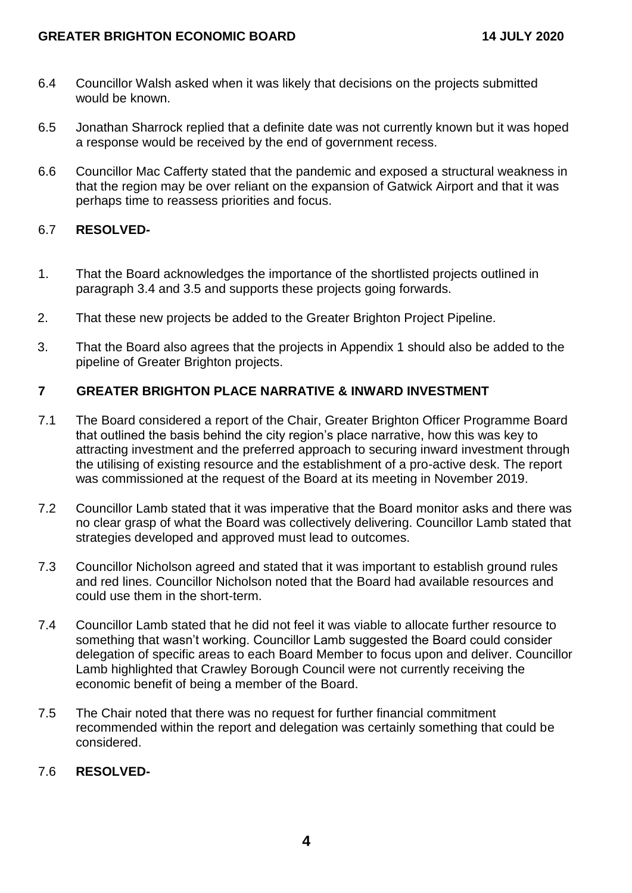- 6.4 Councillor Walsh asked when it was likely that decisions on the projects submitted would be known.
- 6.5 Jonathan Sharrock replied that a definite date was not currently known but it was hoped a response would be received by the end of government recess.
- 6.6 Councillor Mac Cafferty stated that the pandemic and exposed a structural weakness in that the region may be over reliant on the expansion of Gatwick Airport and that it was perhaps time to reassess priorities and focus.

## 6.7 **RESOLVED-**

- 1. That the Board acknowledges the importance of the shortlisted projects outlined in paragraph 3.4 and 3.5 and supports these projects going forwards.
- 2. That these new projects be added to the Greater Brighton Project Pipeline.
- 3. That the Board also agrees that the projects in Appendix 1 should also be added to the pipeline of Greater Brighton projects.

### **7 GREATER BRIGHTON PLACE NARRATIVE & INWARD INVESTMENT**

- 7.1 The Board considered a report of the Chair, Greater Brighton Officer Programme Board that outlined the basis behind the city region's place narrative, how this was key to attracting investment and the preferred approach to securing inward investment through the utilising of existing resource and the establishment of a pro-active desk. The report was commissioned at the request of the Board at its meeting in November 2019.
- 7.2 Councillor Lamb stated that it was imperative that the Board monitor asks and there was no clear grasp of what the Board was collectively delivering. Councillor Lamb stated that strategies developed and approved must lead to outcomes.
- 7.3 Councillor Nicholson agreed and stated that it was important to establish ground rules and red lines. Councillor Nicholson noted that the Board had available resources and could use them in the short-term.
- 7.4 Councillor Lamb stated that he did not feel it was viable to allocate further resource to something that wasn't working. Councillor Lamb suggested the Board could consider delegation of specific areas to each Board Member to focus upon and deliver. Councillor Lamb highlighted that Crawley Borough Council were not currently receiving the economic benefit of being a member of the Board.
- 7.5 The Chair noted that there was no request for further financial commitment recommended within the report and delegation was certainly something that could be considered.

### 7.6 **RESOLVED-**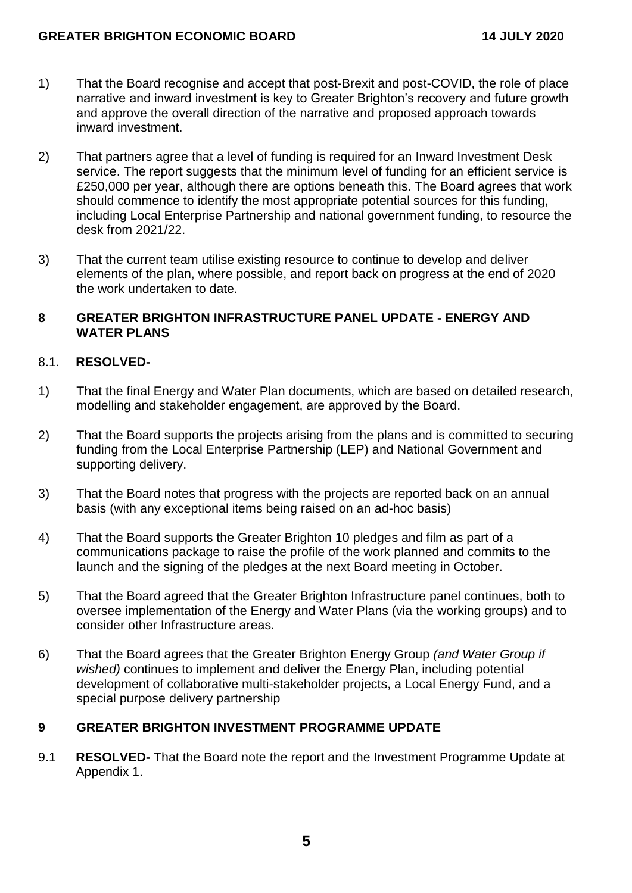- 1) That the Board recognise and accept that post-Brexit and post-COVID, the role of place narrative and inward investment is key to Greater Brighton's recovery and future growth and approve the overall direction of the narrative and proposed approach towards inward investment.
- 2) That partners agree that a level of funding is required for an Inward Investment Desk service. The report suggests that the minimum level of funding for an efficient service is £250,000 per year, although there are options beneath this. The Board agrees that work should commence to identify the most appropriate potential sources for this funding, including Local Enterprise Partnership and national government funding, to resource the desk from 2021/22.
- 3) That the current team utilise existing resource to continue to develop and deliver elements of the plan, where possible, and report back on progress at the end of 2020 the work undertaken to date.

#### **8 GREATER BRIGHTON INFRASTRUCTURE PANEL UPDATE - ENERGY AND WATER PLANS**

### 8.1. **RESOLVED-**

- 1) That the final Energy and Water Plan documents, which are based on detailed research, modelling and stakeholder engagement, are approved by the Board.
- 2) That the Board supports the projects arising from the plans and is committed to securing funding from the Local Enterprise Partnership (LEP) and National Government and supporting delivery.
- 3) That the Board notes that progress with the projects are reported back on an annual basis (with any exceptional items being raised on an ad-hoc basis)
- 4) That the Board supports the Greater Brighton 10 pledges and film as part of a communications package to raise the profile of the work planned and commits to the launch and the signing of the pledges at the next Board meeting in October.
- 5) That the Board agreed that the Greater Brighton Infrastructure panel continues, both to oversee implementation of the Energy and Water Plans (via the working groups) and to consider other Infrastructure areas.
- 6) That the Board agrees that the Greater Brighton Energy Group *(and Water Group if wished)* continues to implement and deliver the Energy Plan, including potential development of collaborative multi-stakeholder projects, a Local Energy Fund, and a special purpose delivery partnership

### **9 GREATER BRIGHTON INVESTMENT PROGRAMME UPDATE**

9.1 **RESOLVED-** That the Board note the report and the Investment Programme Update at Appendix 1.